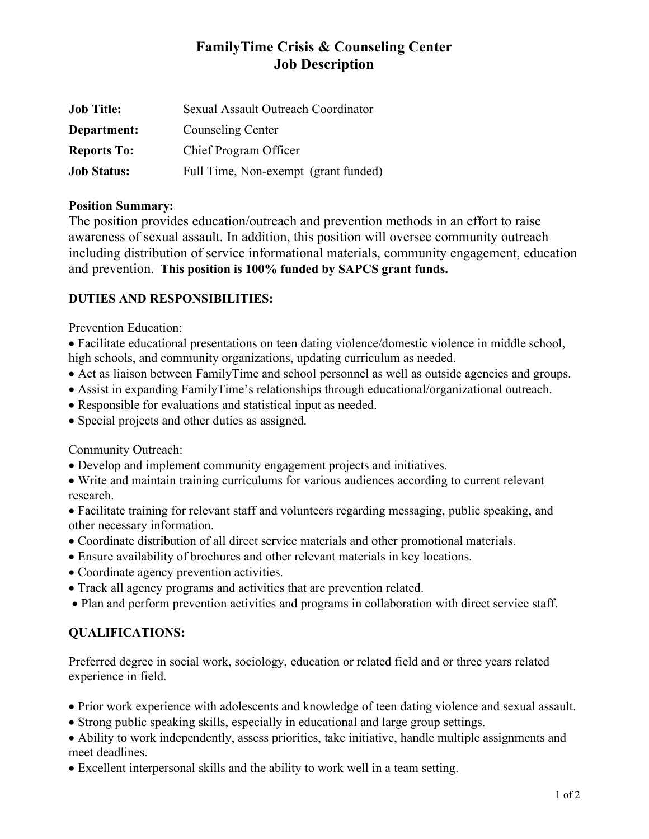## **FamilyTime Crisis & Counseling Center Job Description**

| <b>Job Title:</b>  | Sexual Assault Outreach Coordinator  |
|--------------------|--------------------------------------|
| Department:        | Counseling Center                    |
| <b>Reports To:</b> | Chief Program Officer                |
| <b>Job Status:</b> | Full Time, Non-exempt (grant funded) |

## **Position Summary:**

The position provides education/outreach and prevention methods in an effort to raise awareness of sexual assault. In addition, this position will oversee community outreach including distribution of service informational materials, community engagement, education and prevention. **This position is 100% funded by SAPCS grant funds.**

## **DUTIES AND RESPONSIBILITIES:**

Prevention Education:

• Facilitate educational presentations on teen dating violence/domestic violence in middle school, high schools, and community organizations, updating curriculum as needed.

- Act as liaison between FamilyTime and school personnel as well as outside agencies and groups.
- Assist in expanding FamilyTime's relationships through educational/organizational outreach.
- Responsible for evaluations and statistical input as needed.
- Special projects and other duties as assigned.

Community Outreach:

• Develop and implement community engagement projects and initiatives.

• Write and maintain training curriculums for various audiences according to current relevant research.

• Facilitate training for relevant staff and volunteers regarding messaging, public speaking, and other necessary information.

- Coordinate distribution of all direct service materials and other promotional materials.
- Ensure availability of brochures and other relevant materials in key locations.
- Coordinate agency prevention activities.
- Track all agency programs and activities that are prevention related.
- Plan and perform prevention activities and programs in collaboration with direct service staff.

## **QUALIFICATIONS:**

Preferred degree in social work, sociology, education or related field and or three years related experience in field.

- Prior work experience with adolescents and knowledge of teen dating violence and sexual assault.
- Strong public speaking skills, especially in educational and large group settings.
- Ability to work independently, assess priorities, take initiative, handle multiple assignments and meet deadlines.
- Excellent interpersonal skills and the ability to work well in a team setting.